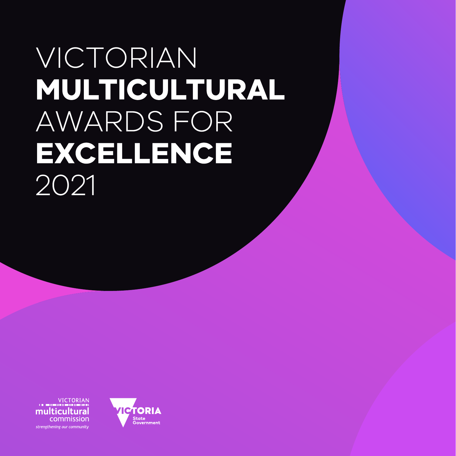# *MICTORIAN* MULTICULTURAL AWARDS FOR **EXCELLENCE** 2021



VICTORIAN multicultura commission strengthening our community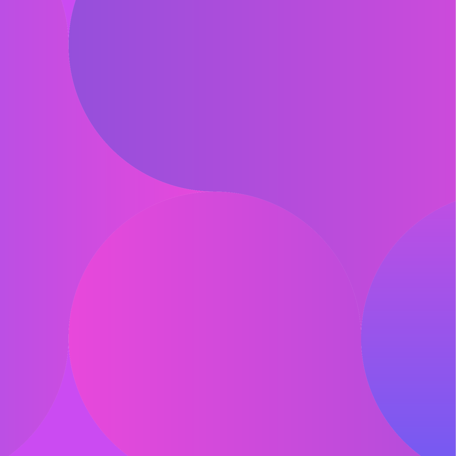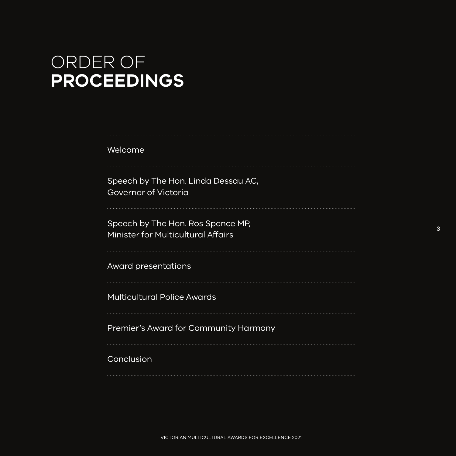## ORDER OF **PROCEEDINGS**

| Welcome                                                                 |
|-------------------------------------------------------------------------|
| Speech by The Hon. Linda Dessau AC,<br>Governor of Victoria             |
| Speech by The Hon. Ros Spence MP,<br>Minister for Multicultural Affairs |
| Award presentations                                                     |
| <b>Multicultural Police Awards</b>                                      |
| Premier's Award for Community Harmony                                   |
| Conclusion                                                              |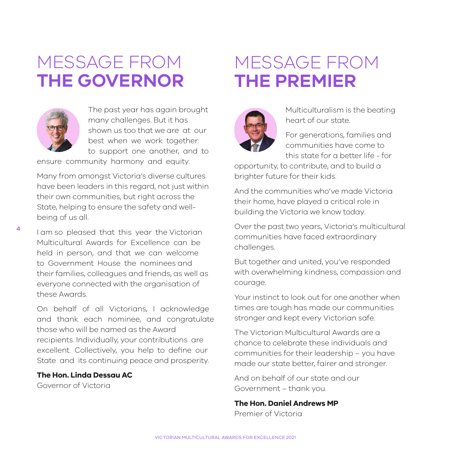## MESSAGE FROM **THE GOVERNOR**



The past year has again brought many challenges. But it has shown us too that we are at our best when we work together: to support one another, and to

ensure community harmony and equity.

Many from amongst Victoria's diverse cultures have been leaders in this regard, not just within their own communities, but right across the State, helping to ensure the safety and wellbeing of us all.

I am so pleased that this year the Victorian Multicultural Awards for Excellence can be held in person, and that we can welcome to Government House the nominees and their families, colleagues and friends, as well as everyone connected with the organisation of these Awards.

On behalf of all Victorians, I acknowledge and thank each nominee, and congratulate those who will be named as the Award recipients. Individually, your contributions are excellent. Collectively, you help to define our State and its continuing peace and prosperity.

## **The Hon. Linda Dessau AC**

Governor of Victoria

## MESSAGE FROM **THE PREMIER**



Multiculturalism is the beating heart of our state.

For generations, families and communities have come to this state for a better life - for

opportunity, to contribute, and to build a brighter future for their kids.

And the communities who've made Victoria their home, have played a critical role in building the Victoria we know today.

Over the past two years, Victoria's multicultural communities have faced extraordinary challenges.

But together and united, you've responded with overwhelming kindness, compassion and courage.

Your instinct to look out for one another when times are tough has made our communities stronger and kept every Victorian safe.

The Victorian Multicultural Awards are a chance to celebrate these individuals and communities for their leadership – you have made our state better, fairer and stronger.

And on behalf of our state and our Government – thank you.

**The Hon. Daniel Andrews MP** Premier of Victoria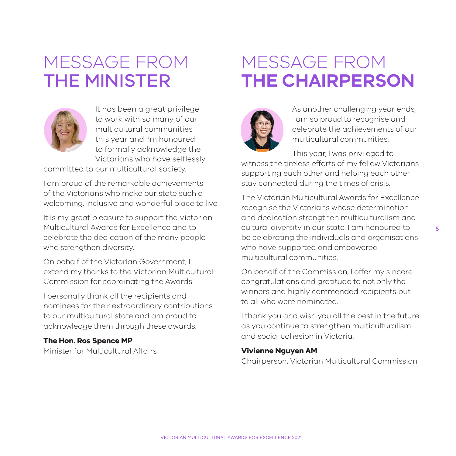## MESSAGE FROM THE MINISTER



It has been a great privilege to work with so many of our multicultural communities this year and I'm honoured to formally acknowledge the Victorians who have selflessly

committed to our multicultural society.

I am proud of the remarkable achievements of the Victorians who make our state such a welcoming, inclusive and wonderful place to live.

It is my great pleasure to support the Victorian Multicultural Awards for Excellence and to celebrate the dedication of the many people who strengthen diversity.

On behalf of the Victorian Government, I extend my thanks to the Victorian Multicultural Commission for coordinating the Awards.

I personally thank all the recipients and nominees for their extraordinary contributions to our multicultural state and am proud to acknowledge them through these awards.

#### **The Hon. Ros Spence MP**

Minister for Multicultural Affairs

## MESSAGE FROM **THE CHAIRPERSON**



As another challenging year ends, I am so proud to recognise and celebrate the achievements of our multicultural communities.

This year, I was privileged to witness the tireless efforts of my fellow Victorians supporting each other and helping each other stay connected during the times of crisis.

The Victorian Multicultural Awards for Excellence recognise the Victorians whose determination and dedication strengthen multiculturalism and cultural diversity in our state. I am honoured to be celebrating the individuals and organisations who have supported and empowered multicultural communities.

On behalf of the Commission, I offer my sincere congratulations and gratitude to not only the winners and highly commended recipients but to all who were nominated.

I thank you and wish you all the best in the future as you continue to strengthen multiculturalism and social cohesion in Victoria.

#### **Vivienne Nguyen AM**

Chairperson, Victorian Multicultural Commission

5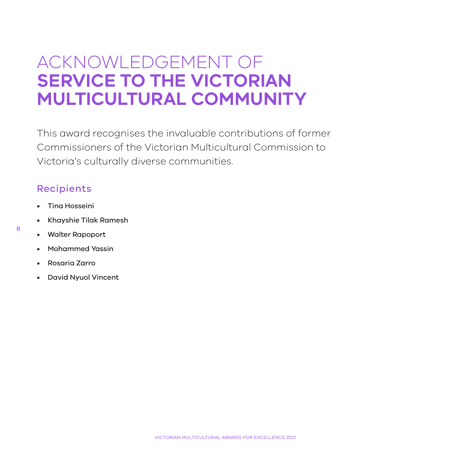## ACKNOWLEDGEMENT OF **SERVICE TO THE VICTORIAN MULTICULTURAL COMMUNITY**

This award recognises the invaluable contributions of former Commissioners of the Victorian Multicultural Commission to Victoria's culturally diverse communities.

## Recipients

- Tina Hosseini
- Khayshie Tilak Ramesh

- Walter Rapoport • Mohammed Yassin
- Rosaria Zarro
- David Nyuol Vincent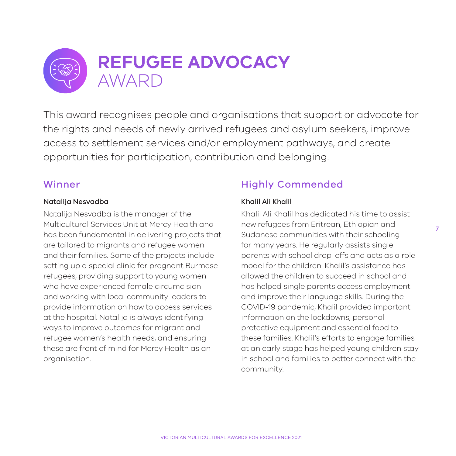

This award recognises people and organisations that support or advocate for the rights and needs of newly arrived refugees and asylum seekers, improve access to settlement services and/or employment pathways, and create opportunities for participation, contribution and belonging.

### Winner

#### Natalija Nesvadba

Natalija Nesvadba is the manager of the Multicultural Services Unit at Mercy Health and has been fundamental in delivering projects that are tailored to migrants and refugee women and their families. Some of the projects include setting up a special clinic for pregnant Burmese refugees, providing support to young women who have experienced female circumcision and working with local community leaders to provide information on how to access services at the hospital. Natalija is always identifying ways to improve outcomes for migrant and refugee women's health needs, and ensuring these are front of mind for Mercy Health as an organisation.

## Highly Commended

#### Khalil Ali Khalil

Khalil Ali Khalil has dedicated his time to assist new refugees from Eritrean, Ethiopian and Sudanese communities with their schooling for many years. He regularly assists single parents with school drop-offs and acts as a role model for the children. Khalil's assistance has allowed the children to succeed in school and has helped single parents access employment and improve their language skills. During the COVID-19 pandemic, Khalil provided important information on the lockdowns, personal protective equipment and essential food to these families. Khalil's efforts to engage families at an early stage has helped young children stay in school and families to better connect with the community.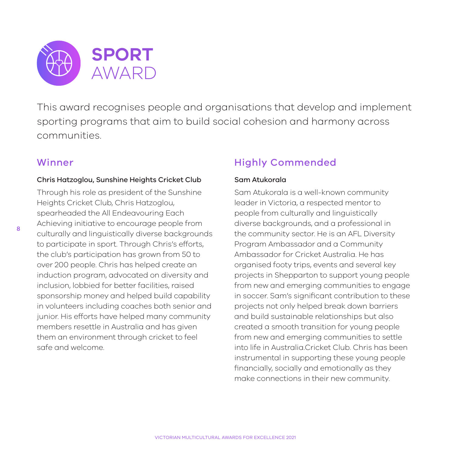

This award recognises people and organisations that develop and implement sporting programs that aim to build social cohesion and harmony across communities.

## Winner

#### Chris Hatzoglou, Sunshine Heights Cricket Club

Through his role as president of the Sunshine Heights Cricket Club, Chris Hatzoglou, spearheaded the All Endeavouring Each Achieving initiative to encourage people from culturally and linguistically diverse backgrounds to participate in sport. Through Chris's efforts, the club's participation has grown from 50 to over 200 people. Chris has helped create an induction program, advocated on diversity and inclusion, lobbied for better facilities, raised sponsorship money and helped build capability in volunteers including coaches both senior and junior. His efforts have helped many community members resettle in Australia and has given them an environment through cricket to feel safe and welcome.

## Highly Commended

#### Sam Atukorala

Sam Atukorala is a well-known community leader in Victoria, a respected mentor to people from culturally and linguistically diverse backgrounds, and a professional in the community sector. He is an AFL Diversity Program Ambassador and a Community Ambassador for Cricket Australia. He has organised footy trips, events and several key projects in Shepparton to support young people from new and emerging communities to engage in soccer. Sam's significant contribution to these projects not only helped break down barriers and build sustainable relationships but also created a smooth transition for young people from new and emerging communities to settle into life in Australia.Cricket Club. Chris has been instrumental in supporting these young people financially, socially and emotionally as they make connections in their new community.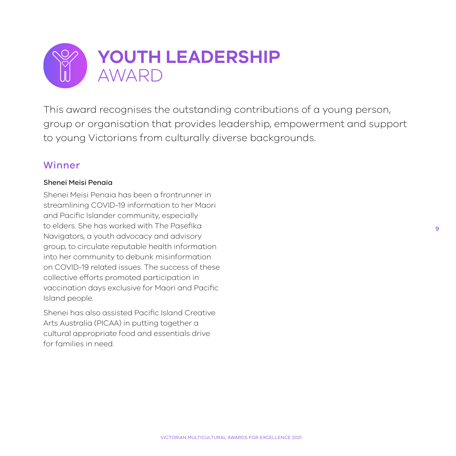

This award recognises the outstanding contributions of a young person, group or organisation that provides leadership, empowerment and support to young Victorians from culturally diverse backgrounds.

## Winner

#### Shenei Meisi Penaia

Shenei Meisi Penaia has been a frontrunner in streamlining COVID-19 information to her Maori and Pacific Islander community, especially to elders. She has worked with The Pasefika Navigators, a youth advocacy and advisory group, to circulate reputable health information into her community to debunk misinformation on COVID-19 related issues. The success of these collective efforts promoted participation in vaccination days exclusive for Maori and Pacific Island people.

Shenei has also assisted Pacific Island Creative Arts Australia (PICAA) in putting together a cultural appropriate food and essentials drive for families in need.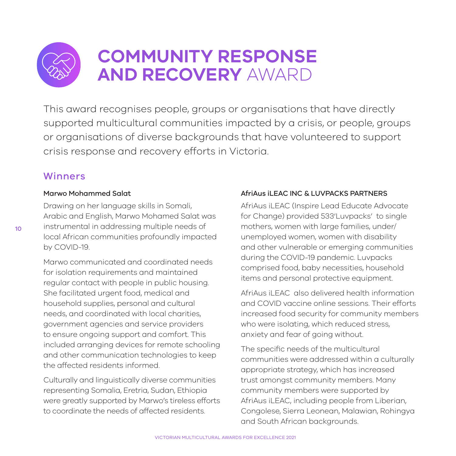## **COMMUNITY RESPONSE AND RECOVERY** AWARD

This award recognises people, groups or organisations that have directly supported multicultural communities impacted by a crisis, or people, groups or organisations of diverse backgrounds that have volunteered to support crisis response and recovery efforts in Victoria.

## Winners

#### Marwo Mohammed Salat

Drawing on her language skills in Somali, Arabic and English, Marwo Mohamed Salat was instrumental in addressing multiple needs of local African communities profoundly impacted by COVID-19.

Marwo communicated and coordinated needs for isolation requirements and maintained regular contact with people in public housing. She facilitated urgent food, medical and household supplies, personal and cultural needs, and coordinated with local charities, government agencies and service providers to ensure ongoing support and comfort. This included arranging devices for remote schooling and other communication technologies to keep the affected residents informed.

Culturally and linguistically diverse communities representing Somalia, Eretria, Sudan, Ethiopia were greatly supported by Marwo's tireless efforts to coordinate the needs of affected residents.

#### AfriAus iLEAC INC & LUVPACKS PARTNERS

AfriAus iLEAC (Inspire Lead Educate Advocate for Change) provided 533'Luvpacks' to single mothers, women with large families, under/ unemployed women, women with disability and other vulnerable or emerging communities during the COVID-19 pandemic. Luvpacks comprised food, baby necessities, household items and personal protective equipment.

AfriAus iLEAC also delivered health information and COVID vaccine online sessions. Their efforts increased food security for community members who were isolating, which reduced stress, anxiety and fear of going without.

The specific needs of the multicultural communities were addressed within a culturally appropriate strategy, which has increased trust amongst community members. Many community members were supported by AfriAus iLEAC, including people from Liberian, Congolese, Sierra Leonean, Malawian, Rohingya and South African backgrounds.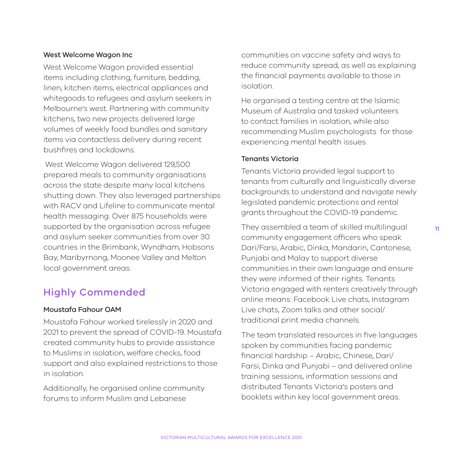#### West Welcome Wagon Inc

West Welcome Wagon provided essential items including clothing, furniture, bedding, linen, kitchen items, electrical appliances and whitegoods to refugees and asylum seekers in Melbourne's west. Partnering with community kitchens, two new projects delivered large volumes of weekly food bundles and sanitary items via contactless delivery during recent bushfires and lockdowns.

 West Welcome Wagon delivered 129,500 prepared meals to community organisations across the state despite many local kitchens shutting down. They also leveraged partnerships with RACV and Lifeline to communicate mental health messaging. Over 875 households were supported by the organisation across refugee and asylum seeker communities from over 30 countries in the Brimbank, Wyndham, Hobsons Bay, Maribyrnong, Moonee Valley and Melton local government areas.

## Highly Commended

#### Moustafa Fahour OAM

Moustafa Fahour worked tirelessly in 2020 and 2021 to prevent the spread of COVID-19. Moustafa created community hubs to provide assistance to Muslims in isolation, welfare checks, food support and also explained restrictions to those in isolation.

Additionally, he organised online community forums to inform Muslim and Lebanese

communities on vaccine safety and ways to reduce community spread, as well as explaining the financial payments available to those in isolation.

He organised a testing centre at the Islamic Museum of Australia and tasked volunteers to contact families in isolation, while also recommending Muslim psychologists for those experiencing mental health issues.

#### Tenants Victoria

Tenants Victoria provided legal support to tenants from culturally and linguistically diverse backgrounds to understand and navigate newly legislated pandemic protections and rental grants throughout the COVID-19 pandemic.

They assembled a team of skilled multilingual community engagement officers who speak Dari/Farsi, Arabic, Dinka, Mandarin, Cantonese, Punjabi and Malay to support diverse communities in their own language and ensure they were informed of their rights. Tenants Victoria engaged with renters creatively through online means: Facebook Live chats, Instagram Live chats, Zoom talks and other social/ traditional print media channels.

The team translated resources in five languages spoken by communities facing pandemic financial hardship – Arabic, Chinese, Dari/ Farsi, Dinka and Punjabi – and delivered online training sessions, information sessions and distributed Tenants Victoria's posters and booklets within key local government areas.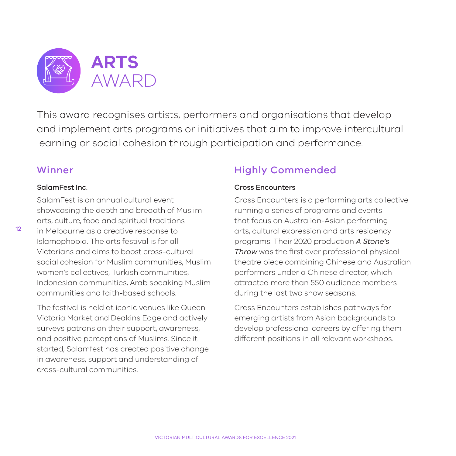

This award recognises artists, performers and organisations that develop and implement arts programs or initiatives that aim to improve intercultural learning or social cohesion through participation and performance.

## Winner

#### SalamFest Inc.

SalamFest is an annual cultural event showcasing the depth and breadth of Muslim arts, culture, food and spiritual traditions in Melbourne as a creative response to Islamophobia. The arts festival is for all Victorians and aims to boost cross-cultural social cohesion for Muslim communities, Muslim women's collectives, Turkish communities, Indonesian communities, Arab speaking Muslim communities and faith-based schools.

The festival is held at iconic venues like Queen Victoria Market and Deakins Edge and actively surveys patrons on their support, awareness, and positive perceptions of Muslims. Since it started, Salamfest has created positive change in awareness, support and understanding of cross-cultural communities.

## Highly Commended

#### Cross Encounters

Cross Encounters is a performing arts collective running a series of programs and events that focus on Australian-Asian performing arts, cultural expression and arts residency programs. Their 2020 production *A Stone's Throw* was the first ever professional physical theatre piece combining Chinese and Australian performers under a Chinese director, which attracted more than 550 audience members during the last two show seasons.

Cross Encounters establishes pathways for emerging artists from Asian backgrounds to develop professional careers by offering them different positions in all relevant workshops.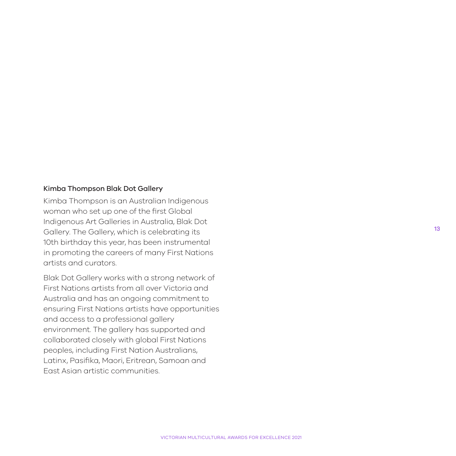#### Kimba Thompson Blak Dot Gallery

Kimba Thompson is an Australian Indigenous woman who set up one of the first Global Indigenous Art Galleries in Australia, Blak Dot Gallery. The Gallery, which is celebrating its 10th birthday this year, has been instrumental in promoting the careers of many First Nations artists and curators.

Blak Dot Gallery works with a strong network of First Nations artists from all over Victoria and Australia and has an ongoing commitment to ensuring First Nations artists have opportunities and access to a professional gallery environment. The gallery has supported and collaborated closely with global First Nations peoples, including First Nation Australians, Latinx, Pasifika, Maori, Eritrean, Samoan and East Asian artistic communities.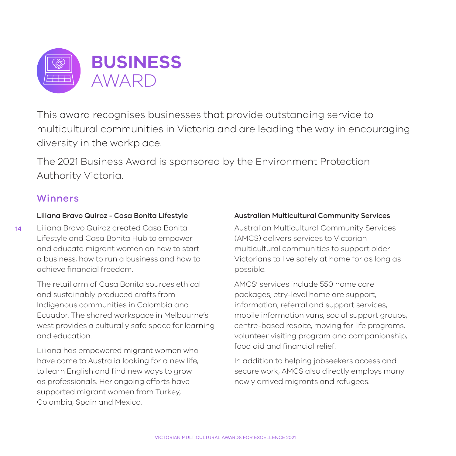

This award recognises businesses that provide outstanding service to multicultural communities in Victoria and are leading the way in encouraging diversity in the workplace.

The 2021 Business Award is sponsored by the Environment Protection Authority Victoria.

## Winners

 $14$ 

#### Liliana Bravo Quiroz - Casa Bonita Lifestyle

Liliana Bravo Quiroz created Casa Bonita Lifestyle and Casa Bonita Hub to empower and educate migrant women on how to start a business, how to run a business and how to achieve financial freedom.

The retail arm of Casa Bonita sources ethical and sustainably produced crafts from Indigenous communities in Colombia and Ecuador. The shared workspace in Melbourne's west provides a culturally safe space for learning and education.

Liliana has empowered migrant women who have come to Australia looking for a new life, to learn English and find new ways to grow as professionals. Her ongoing efforts have supported migrant women from Turkey, Colombia, Spain and Mexico.

#### Australian Multicultural Community Services

Australian Multicultural Community Services (AMCS) delivers services to Victorian multicultural communities to support older Victorians to live safely at home for as long as possible.

AMCS' services include 550 home care packages, etry-level home are support, information, referral and support services, mobile information vans, social support groups, centre-based respite, moving for life programs, volunteer visiting program and companionship, food aid and financial relief.

In addition to helping jobseekers access and secure work, AMCS also directly employs many newly arrived migrants and refugees.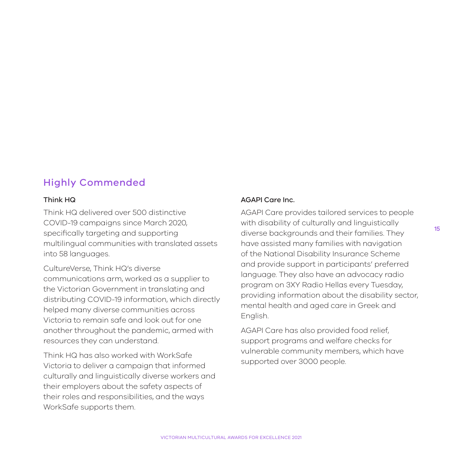## Highly Commended

#### Think HQ

Think HQ delivered over 500 distinctive COVID-19 campaigns since March 2020, specifically targeting and supporting multilingual communities with translated assets into 58 languages.

CultureVerse, Think HQ's diverse communications arm, worked as a supplier to the Victorian Government in translating and distributing COVID-19 information, which directly helped many diverse communities across Victoria to remain safe and look out for one another throughout the pandemic, armed with resources they can understand.

Think HQ has also worked with WorkSafe Victoria to deliver a campaign that informed culturally and linguistically diverse workers and their employers about the safety aspects of their roles and responsibilities, and the ways WorkSafe supports them.

#### AGAPI Care Inc.

AGAPI Care provides tailored services to people with disability of culturally and linguistically diverse backgrounds and their families. They have assisted many families with navigation of the National Disability Insurance Scheme and provide support in participants' preferred language. They also have an advocacy radio program on 3XY Radio Hellas every Tuesday, providing information about the disability sector, mental health and aged care in Greek and English.

AGAPI Care has also provided food relief, support programs and welfare checks for vulnerable community members, which have supported over 3000 people.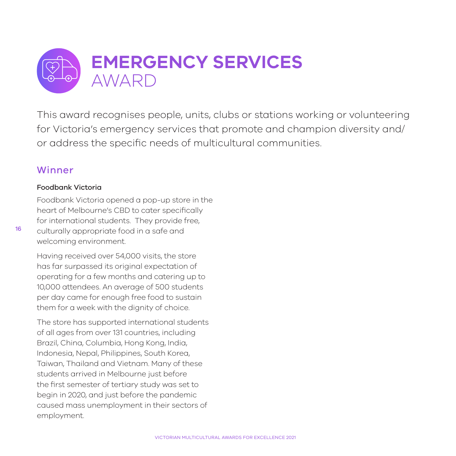

This award recognises people, units, clubs or stations working or volunteering for Victoria's emergency services that promote and champion diversity and/ or address the specific needs of multicultural communities.

## Winner

#### Foodbank Victoria

Foodbank Victoria opened a pop-up store in the heart of Melbourne's CBD to cater specifically for international students. They provide free, culturally appropriate food in a safe and welcoming environment.

Having received over 54,000 visits, the store has far surpassed its original expectation of operating for a few months and catering up to 10,000 attendees. An average of 500 students per day came for enough free food to sustain them for a week with the dignity of choice.

The store has supported international students of all ages from over 131 countries, including Brazil, China, Columbia, Hong Kong, India, Indonesia, Nepal, Philippines, South Korea, Taiwan, Thailand and Vietnam. Many of these students arrived in Melbourne just before the first semester of tertiary study was set to begin in 2020, and just before the pandemic caused mass unemployment in their sectors of employment.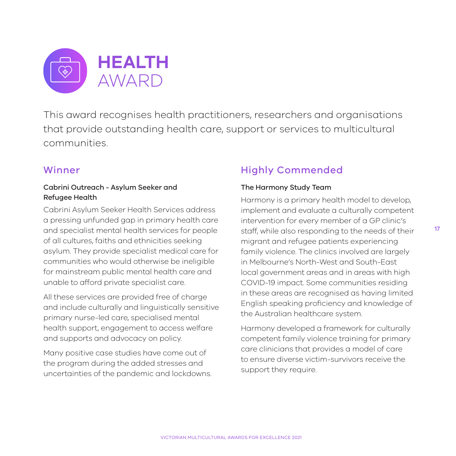17

**HEALTH** AWARD

This award recognises health practitioners, researchers and organisations that provide outstanding health care, support or services to multicultural communities.

## Winner

#### Cabrini Outreach - Asylum Seeker and Refugee Health

Cabrini Asylum Seeker Health Services address a pressing unfunded gap in primary health care and specialist mental health services for people of all cultures, faiths and ethnicities seeking asylum. They provide specialist medical care for communities who would otherwise be ineligible for mainstream public mental health care and unable to afford private specialist care.

All these services are provided free of charge and include culturally and linguistically sensitive primary nurse-led care, specialised mental health support, engagement to access welfare and supports and advocacy on policy.

Many positive case studies have come out of the program during the added stresses and uncertainties of the pandemic and lockdowns.

## Highly Commended

#### The Harmony Study Team

Harmony is a primary health model to develop, implement and evaluate a culturally competent intervention for every member of a GP clinic's staff, while also responding to the needs of their migrant and refugee patients experiencing family violence. The clinics involved are largely in Melbourne's North-West and South-East local government areas and in areas with high COVID-19 impact. Some communities residing in these areas are recognised as having limited English speaking proficiency and knowledge of the Australian healthcare system.

Harmony developed a framework for culturally competent family violence training for primary care clinicians that provides a model of care to ensure diverse victim-survivors receive the support they require.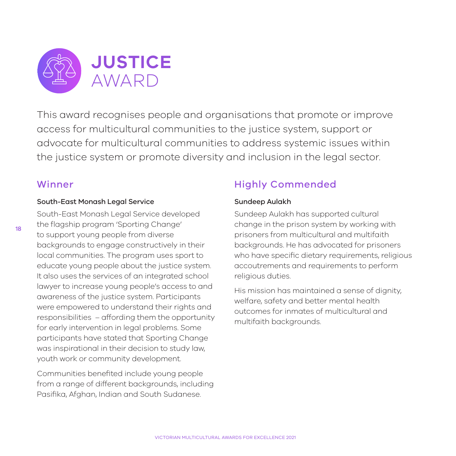

This award recognises people and organisations that promote or improve access for multicultural communities to the justice system, support or advocate for multicultural communities to address systemic issues within the justice system or promote diversity and inclusion in the legal sector.

## Winner

#### South-East Monash Legal Service

South-East Monash Legal Service developed the flagship program 'Sporting Change' to support young people from diverse backgrounds to engage constructively in their local communities. The program uses sport to educate young people about the justice system. It also uses the services of an integrated school lawyer to increase young people's access to and awareness of the justice system. Participants were empowered to understand their rights and responsibilities – affording them the opportunity for early intervention in legal problems. Some participants have stated that Sporting Change was inspirational in their decision to study law, youth work or community development.

Communities benefited include young people from a range of different backgrounds, including Pasifika, Afghan, Indian and South Sudanese.

## Highly Commended

#### Sundeep Aulakh

Sundeep Aulakh has supported cultural change in the prison system by working with prisoners from multicultural and multifaith backgrounds. He has advocated for prisoners who have specific dietary requirements, religious accoutrements and requirements to perform religious duties.

His mission has maintained a sense of dignity, welfare, safety and better mental health outcomes for inmates of multicultural and multifaith backgrounds.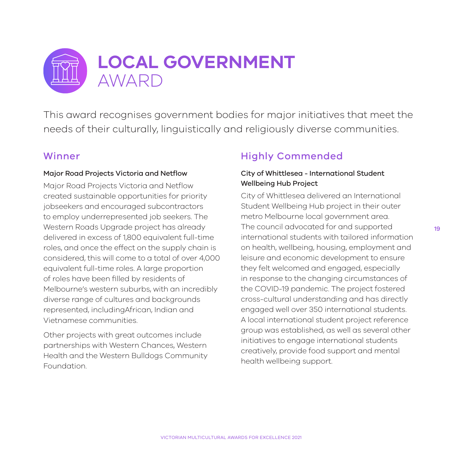

This award recognises government bodies for major initiatives that meet the needs of their culturally, linguistically and religiously diverse communities.

## Winner

#### Major Road Projects Victoria and Netflow

Major Road Projects Victoria and Netflow created sustainable opportunities for priority jobseekers and encouraged subcontractors to employ underrepresented job seekers. The Western Roads Upgrade project has already delivered in excess of 1,800 equivalent full-time roles, and once the effect on the supply chain is considered, this will come to a total of over 4,000 equivalent full-time roles. A large proportion of roles have been filled by residents of Melbourne's western suburbs, with an incredibly diverse range of cultures and backgrounds represented, includingAfrican, Indian and Vietnamese communities.

Other projects with great outcomes include partnerships with Western Chances, Western Health and the Western Bulldogs Community Foundation.

## Highly Commended

#### City of Whittlesea - International Student Wellbeing Hub Project

City of Whittlesea delivered an International Student Wellbeing Hub project in their outer metro Melbourne local government area. The council advocated for and supported international students with tailored information on health, wellbeing, housing, employment and leisure and economic development to ensure they felt welcomed and engaged, especially in response to the changing circumstances of the COVID-19 pandemic. The project fostered cross-cultural understanding and has directly engaged well over 350 international students. A local international student project reference group was established, as well as several other initiatives to engage international students creatively, provide food support and mental health wellbeing support.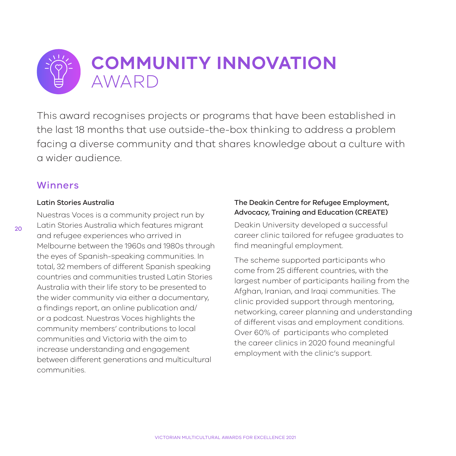

This award recognises projects or programs that have been established in the last 18 months that use outside-the-box thinking to address a problem facing a diverse community and that shares knowledge about a culture with a wider audience.

### Winners

#### Latin Stories Australia

Nuestras Voces is a community project run by Latin Stories Australia which features migrant and refugee experiences who arrived in Melbourne between the 1960s and 1980s through the eyes of Spanish-speaking communities. In total, 32 members of different Spanish speaking countries and communities trusted Latin Stories Australia with their life story to be presented to the wider community via either a documentary, a findings report, an online publication and/ or a podcast. Nuestras Voces highlights the community members' contributions to local communities and Victoria with the aim to increase understanding and engagement between different generations and multicultural communities.

#### The Deakin Centre for Refugee Employment, Advocacy, Training and Education (CREATE)

Deakin University developed a successful career clinic tailored for refugee graduates to find meaningful employment.

The scheme supported participants who come from 25 different countries, with the largest number of participants hailing from the Afghan, Iranian, and Iraqi communities. The clinic provided support through mentoring, networking, career planning and understanding of different visas and employment conditions. Over 60% of participants who completed the career clinics in 2020 found meaningful employment with the clinic's support.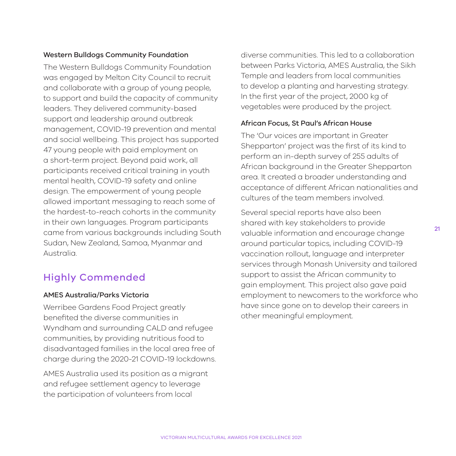#### Western Bulldogs Community Foundation

The Western Bulldogs Community Foundation was engaged by Melton City Council to recruit and collaborate with a group of young people, to support and build the capacity of community leaders. They delivered community-based support and leadership around outbreak management, COVID-19 prevention and mental and social wellbeing. This project has supported 47 young people with paid employment on a short-term project. Beyond paid work, all participants received critical training in youth mental health, COVID-19 safety and online design. The empowerment of young people allowed important messaging to reach some of the hardest-to-reach cohorts in the community in their own languages. Program participants came from various backgrounds including South Sudan, New Zealand, Samoa, Myanmar and Australia.

## Highly Commended

#### AMES Australia/Parks Victoria

Werribee Gardens Food Project greatly benefited the diverse communities in Wyndham and surrounding CALD and refugee communities, by providing nutritious food to disadvantaged families in the local area free of charge during the 2020-21 COVID-19 lockdowns.

AMES Australia used its position as a migrant and refugee settlement agency to leverage the participation of volunteers from local

diverse communities. This led to a collaboration between Parks Victoria, AMES Australia, the Sikh Temple and leaders from local communities to develop a planting and harvesting strategy. In the first year of the project, 2000 kg of vegetables were produced by the project.

#### African Focus, St Paul's African House

The 'Our voices are important in Greater Shepparton' project was the first of its kind to perform an in-depth survey of 255 adults of African background in the Greater Shepparton area. It created a broader understanding and acceptance of different African nationalities and cultures of the team members involved.

Several special reports have also been shared with key stakeholders to provide valuable information and encourage change around particular topics, including COVID-19 vaccination rollout, language and interpreter services through Monash University and tailored support to assist the African community to gain employment. This project also gave paid employment to newcomers to the workforce who have since gone on to develop their careers in other meaningful employment.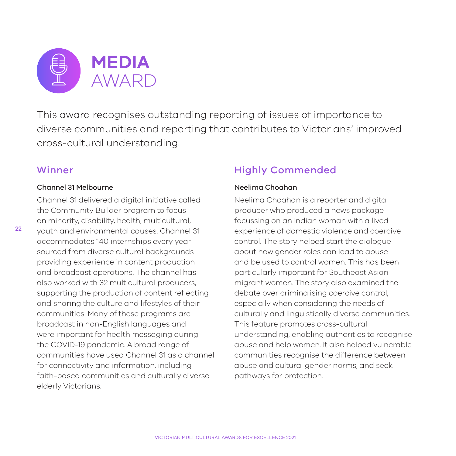

This award recognises outstanding reporting of issues of importance to diverse communities and reporting that contributes to Victorians' improved cross-cultural understanding.

## Winner

#### Channel 31 Melbourne

Channel 31 delivered a digital initiative called the Community Builder program to focus on minority, disability, health, multicultural, youth and environmental causes. Channel 31 accommodates 140 internships every year sourced from diverse cultural backgrounds providing experience in content production and broadcast operations. The channel has also worked with 32 multicultural producers, supporting the production of content reflecting and sharing the culture and lifestyles of their communities. Many of these programs are broadcast in non-English languages and were important for health messaging during the COVID-19 pandemic. A broad range of communities have used Channel 31 as a channel for connectivity and information, including faith-based communities and culturally diverse elderly Victorians.

## Highly Commended

#### Neelima Choahan

Neelima Choahan is a reporter and digital producer who produced a news package focussing on an Indian woman with a lived experience of domestic violence and coercive control. The story helped start the dialogue about how gender roles can lead to abuse and be used to control women. This has been particularly important for Southeast Asian migrant women. The story also examined the debate over criminalising coercive control, especially when considering the needs of culturally and linguistically diverse communities. This feature promotes cross-cultural understanding, enabling authorities to recognise abuse and help women. It also helped vulnerable communities recognise the difference between abuse and cultural gender norms, and seek pathways for protection.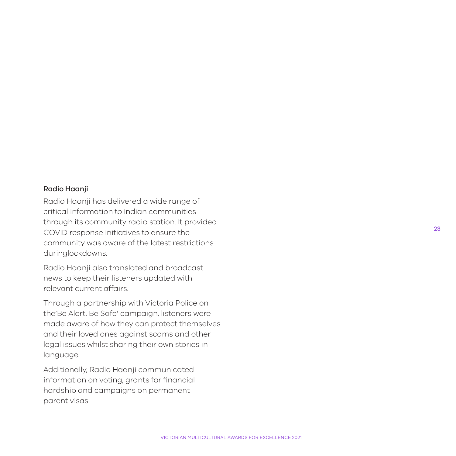#### Radio Haanji

Radio Haanji has delivered a wide range of critical information to Indian communities through its community radio station. It provided COVID response initiatives to ensure the community was aware of the latest restrictions duringlockdowns.

Radio Haanji also translated and broadcast news to keep their listeners updated with relevant current affairs.

Through a partnership with Victoria Police on the'Be Alert, Be Safe' campaign, listeners were made aware of how they can protect themselves and their loved ones against scams and other legal issues whilst sharing their own stories in language.

Additionally, Radio Haanji communicated information on voting, grants for financial hardship and campaigns on permanent parent visas.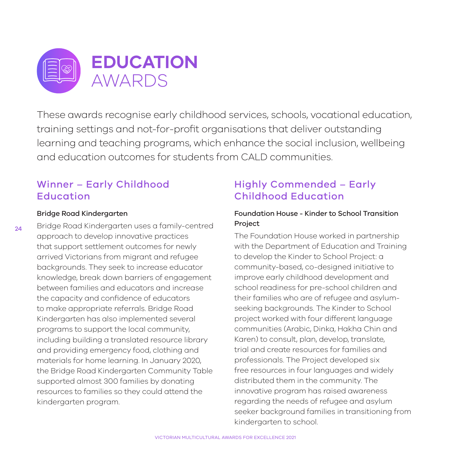

These awards recognise early childhood services, schools, vocational education, training settings and not-for-profit organisations that deliver outstanding learning and teaching programs, which enhance the social inclusion, wellbeing and education outcomes for students from CALD communities.

## Winner – Early Childhood Education

#### Bridge Road Kindergarten

 $24$ 

Bridge Road Kindergarten uses a family-centred approach to develop innovative practices that support settlement outcomes for newly arrived Victorians from migrant and refugee backgrounds. They seek to increase educator knowledge, break down barriers of engagement between families and educators and increase the capacity and confidence of educators to make appropriate referrals. Bridge Road Kindergarten has also implemented several programs to support the local community, including building a translated resource library and providing emergency food, clothing and materials for home learning. In January 2020, the Bridge Road Kindergarten Community Table supported almost 300 families by donating resources to families so they could attend the kindergarten program.

## Highly Commended – Early Childhood Education

#### Foundation House - Kinder to School Transition Project

The Foundation House worked in partnership with the Department of Education and Training to develop the Kinder to School Project: a community-based, co-designed initiative to improve early childhood development and school readiness for pre-school children and their families who are of refugee and asylumseeking backgrounds. The Kinder to School project worked with four different language communities (Arabic, Dinka, Hakha Chin and Karen) to consult, plan, develop, translate, trial and create resources for families and professionals. The Project developed six free resources in four languages and widely distributed them in the community. The innovative program has raised awareness regarding the needs of refugee and asylum seeker background families in transitioning from kindergarten to school.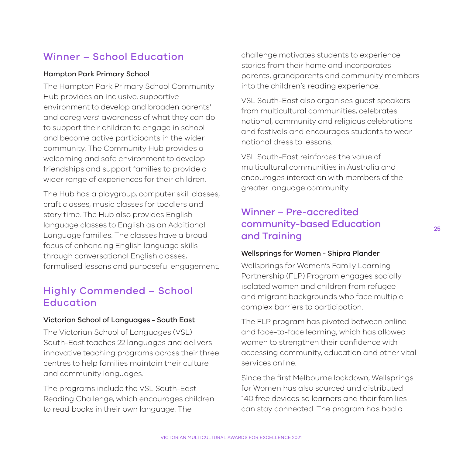## Winner – School Education

#### Hampton Park Primary School

The Hampton Park Primary School Community Hub provides an inclusive, supportive environment to develop and broaden parents' and caregivers' awareness of what they can do to support their children to engage in school and become active participants in the wider community. The Community Hub provides a welcoming and safe environment to develop friendships and support families to provide a wider range of experiences for their children.

The Hub has a playgroup, computer skill classes, craft classes, music classes for toddlers and story time. The Hub also provides English language classes to English as an Additional Language families. The classes have a broad focus of enhancing English language skills through conversational English classes, formalised lessons and purposeful engagement.

## Highly Commended – School Education

#### Victorian School of Languages - South East

The Victorian School of Languages (VSL) South-East teaches 22 languages and delivers innovative teaching programs across their three centres to help families maintain their culture and community languages.

The programs include the VSL South-East Reading Challenge, which encourages children to read books in their own language. The

challenge motivates students to experience stories from their home and incorporates parents, grandparents and community members into the children's reading experience.

VSL South-East also organises guest speakers from multicultural communities, celebrates national, community and religious celebrations and festivals and encourages students to wear national dress to lessons.

VSL South-East reinforces the value of multicultural communities in Australia and encourages interaction with members of the greater language community.

## Winner – Pre-accredited community-based Education and Training

#### Wellsprings for Women - Shipra Plander

Wellsprings for Women's Family Learning Partnership (FLP) Program engages socially isolated women and children from refugee and migrant backgrounds who face multiple complex barriers to participation.

The FLP program has pivoted between online and face-to-face learning, which has allowed women to strengthen their confidence with accessing community, education and other vital services online.

Since the first Melbourne lockdown, Wellsprings for Women has also sourced and distributed 140 free devices so learners and their families can stay connected. The program has had a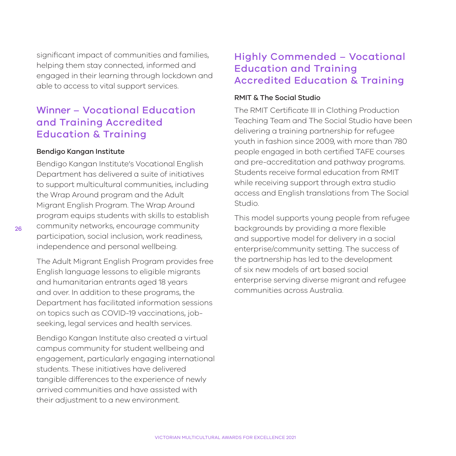significant impact of communities and families, helping them stay connected, informed and engaged in their learning through lockdown and able to access to vital support services.

## Winner – Vocational Education and Training Accredited Education & Training

#### Bendigo Kangan Institute

Bendigo Kangan Institute's Vocational English Department has delivered a suite of initiatives to support multicultural communities, including the Wrap Around program and the Adult Migrant English Program. The Wrap Around program equips students with skills to establish community networks, encourage community participation, social inclusion, work readiness, independence and personal wellbeing.

The Adult Migrant English Program provides free English language lessons to eligible migrants and humanitarian entrants aged 18 years and over. In addition to these programs, the Department has facilitated information sessions on topics such as COVID-19 vaccinations, jobseeking, legal services and health services.

Bendigo Kangan Institute also created a virtual campus community for student wellbeing and engagement, particularly engaging international students. These initiatives have delivered tangible differences to the experience of newly arrived communities and have assisted with their adjustment to a new environment.

## Highly Commended – Vocational Education and Training Accredited Education & Training

#### RMIT & The Social Studio

The RMIT Certificate III in Clothing Production Teaching Team and The Social Studio have been delivering a training partnership for refugee youth in fashion since 2009, with more than 780 people engaged in both certified TAFE courses and pre-accreditation and pathway programs. Students receive formal education from RMIT while receiving support through extra studio access and English translations from The Social Studio.

This model supports young people from refugee backgrounds by providing a more flexible and supportive model for delivery in a social enterprise/community setting. The success of the partnership has led to the development of six new models of art based social enterprise serving diverse migrant and refugee communities across Australia.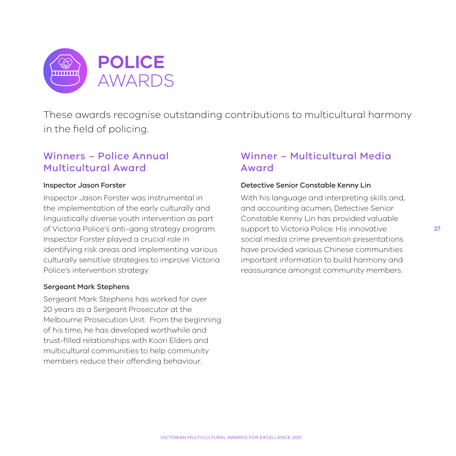

These awards recognise outstanding contributions to multicultural harmony in the field of policing.

## Winners – Police Annual Multicultural Award

#### Inspector Jason Forster

Inspector Jason Forster was instrumental in the implementation of the early culturally and linguistically diverse youth intervention as part of Victoria Police's anti-gang strategy program. Inspector Forster played a crucial role in identifying risk areas and implementing various culturally sensitive strategies to improve Victoria Police's intervention strategy.

#### Sergeant Mark Stephens

Sergeant Mark Stephens has worked for over 20 years as a Sergeant Prosecutor at the Melbourne Prosecution Unit. From the beginning of his time, he has developed worthwhile and trust-filled relationships with Koori Elders and multicultural communities to help community members reduce their offending behaviour.

## Winner – Multicultural Media Award

#### Detective Senior Constable Kenny Lin

With his language and interpreting skills and, and accounting acumen, Detective Senior Constable Kenny Lin has provided valuable support to Victoria Police. His innovative social media crime prevention presentations have provided various Chinese communities important information to build harmony and reassurance amongst community members.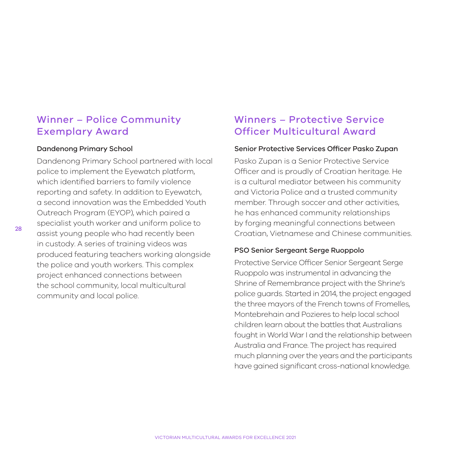## Winner – Police Community Exemplary Award

#### Dandenong Primary School

Dandenong Primary School partnered with local police to implement the Eyewatch platform, which identified barriers to family violence reporting and safety. In addition to Eyewatch, a second innovation was the Embedded Youth Outreach Program (EYOP), which paired a specialist youth worker and uniform police to assist young people who had recently been in custody. A series of training videos was produced featuring teachers working alongside the police and youth workers. This complex project enhanced connections between the school community, local multicultural community and local police.

## Winners – Protective Service Officer Multicultural Award

#### Senior Protective Services Officer Pasko Zupan

Pasko Zupan is a Senior Protective Service Officer and is proudly of Croatian heritage. He is a cultural mediator between his community and Victoria Police and a trusted community member. Through soccer and other activities, he has enhanced community relationships by forging meaningful connections between Croatian, Vietnamese and Chinese communities.

#### PSO Senior Sergeant Serge Ruoppolo

Protective Service Officer Senior Sergeant Serge Ruoppolo was instrumental in advancing the Shrine of Remembrance project with the Shrine's police guards. Started in 2014, the project engaged the three mayors of the French towns of Fromelles, Montebrehain and Pozieres to help local school children learn about the battles that Australians fought in World War I and the relationship between Australia and France. The project has required much planning over the years and the participants have gained significant cross-national knowledge.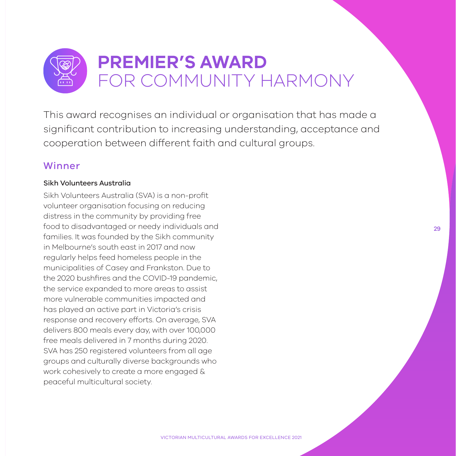

This award recognises an individual or organisation that has made a significant contribution to increasing understanding, acceptance and cooperation between different faith and cultural groups.

## Winner

#### Sikh Volunteers Australia

Sikh Volunteers Australia (SVA) is a non-profit volunteer organisation focusing on reducing distress in the community by providing free food to disadvantaged or needy individuals and families. It was founded by the Sikh community in Melbourne's south east in 2017 and now regularly helps feed homeless people in the municipalities of Casey and Frankston. Due to the 2020 bushfires and the COVID-19 pandemic, the service expanded to more areas to assist more vulnerable communities impacted and has played an active part in Victoria's crisis response and recovery efforts. On average, SVA delivers 800 meals every day, with over 100,000 free meals delivered in 7 months during 2020. SVA has 250 registered volunteers from all age groups and culturally diverse backgrounds who work cohesively to create a more engaged & peaceful multicultural society.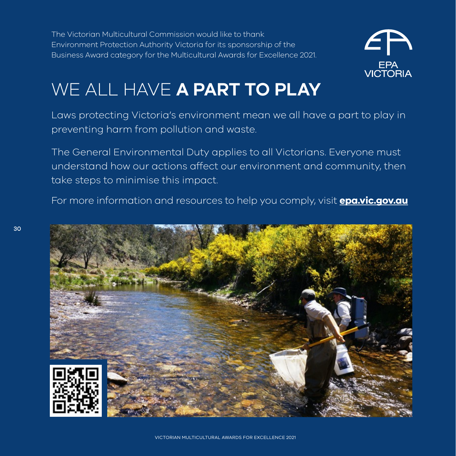The Victorian Multicultural Commission would like to thank Environment Protection Authority Victoria for its sponsorship of the Business Award category for the Multicultural Awards for Excellence 2021.



## WE ALL HAVE **A PART TO PLAY**

Laws protecting Victoria's environment mean we all have a part to play in preventing harm from pollution and waste.

The General Environmental Duty applies to all Victorians. Everyone must understand how our actions affect our environment and community, then take steps to minimise this impact.

For more information and resources to help you comply, visit **epa.vic.gov.au**

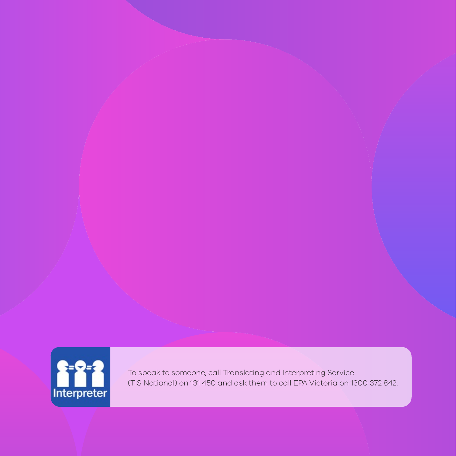

To speak to someone, call Translating and Interpreting Service (TIS National) on 131 450 and ask them to call EPA Victoria on 1300 372 842.